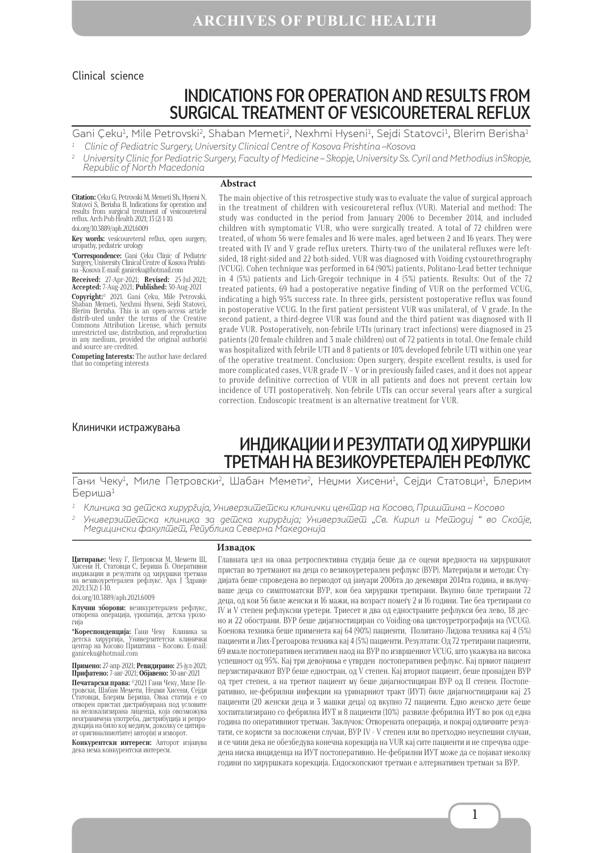## **ARCHIVES OF PUBLIC HEALTH**

### Clinical science

# INDICATIONS FOR OPERATION AND RESULTS FROM SURGICAL TREATMENT OF VESICOURETERAL REFLUX

Gani Çeku<sup>1</sup>, Mile Petrovski<sup>2</sup>, Shaban Memeti<sup>2</sup>, Nexhmi Hyseni<sup>1</sup>, Sejdi Statovci<sup>1</sup>, Blerim Berisha<sup>1</sup> 1 Clinic of Pediatric Surgery, University Clinical Centre of Kosova Prishtina –Kosova

<sup>2</sup> University Clinic for Pediatric Surgery, Faculty of Medicine – Skopje, University Ss. Cyril and Methodius inSkopje, Republic of North Macedonia

#### **Abstract**

**Citation:** Çeku G, Petrovski M, Memeti Sh, Hyseni N, Statovci S, Berisha B. Indications for operation and results from surgical treatment of vesicoureteral reflux. Arch Pub Health 2021; 13 (2) 1-10. doi.org/10.3889/aph.2021.6009

**Key words:** vesicoureteral reflux, open surgery, uropathy, pediatric urology

**\*Correspondence:** Gani Çeku Clinic of Pediatric Surgery, University Clinical Centre of Kosova Prishtina –Kosova Е-mail: ganiceku@hotmail.com

**Received:** 27-Apr-2021; **Revised:** 25-Jul-2021; **Accepted:** 7-Aug-2021; **Published:** 30-Aug-2021

**Copyright:**© 2021. Gani Çeku, Mile Petrovski, Shaban Memeti, Nexhmi Hyseni, Sejdi Statovci, Blerim Berisha. This is an open-access article distrib-uted under the terms of the Creative Commons Attribution License, which permits unrestricted use, distribution, and reproduction in any medium, provided the original author(s) and source are credited.

**Competing Interests:** The author have declared that no competing interests

### Клинички истражувања

#### in the treatment of children with vesicoureteral reflux (VUR). Material and method: The study was conducted in the period from January 2006 to December 2014, and included children with symptomatic VUR, who were surgically treated. A total of 72 children were treated, of whom 56 were females and 16 were males, aged between 2 and 16 years. They were treated with IV and V grade reflux ureters. Thirty-two of the unilateral refluxes were leftsided, 18 right-sided and 22 both-sided. VUR was diagnosed with Voiding cystourethrography (VCUG). Cohen technique was performed in 64 (90%) patients, Politano-Lead better technique in 4 (5%) patients and Lich-Gregoir technique in 4 (5%) patients. Results: Out of the 72 treated patients, 69 had a postoperative negative finding of VUR on the performed VCUG, indicating a high 95% success rate. In three girls, persistent postoperative reflux was found in postoperative VCUG. In the first patient persistent VUR was unilateral, of V grade. In the second patient, a third-degree VUR was found and the third patient was diagnosed with II grade VUR. Postoperatively, non-febrile UTIs (urinary tract infections) were diagnosed in 23 patients (20 female children and 3 male children) out of 72 patients in total. One female child was hospitalized with febrile UTI and 8 patients or 10% developed febrile UTI within one year of the operative treatment. Conclusion: Open surgery, despite excellent results, is used for more complicated cases, VUR grade IV – V or in previously failed cases, and it does not appear to provide definitive correction of VUR in all patients and does not prevent certain low incidence of UTI postoperatively. Non-febrile UTIs can occur several years after a surgical correction. Endoscopic treatment is an alternative treatment for VUR.

The main objective of this retrospective study was to evaluate the value of surgical approach

# ИНДИКАЦИИ И РЕЗУЛТАТИ ОД ХИРУРШКИ ТРЕТМАН НА ВЕЗИКОУРЕТЕРАЛЕН РЕФЛУКС

Гани Чеку1, Миле Петровски2, Шабан Мемети2, Неџми Хисени1, Сејди Статовци1, Блерим Бериша1

 $^{\mathrm{1}}$  Клиника за де $\overline{\mathrm{u}}$ ска хирур $\bar{\mathrm{z}}$ ија, Универзи $\overline{\mathrm{u}}$ е $\overline{\mathrm{u}}$ ски клинички цен $\overline{\mathrm{u}}$ ар на Косово, Приш $\overline{\mathrm{u}}$ ина – Косово

<sup>2</sup> Универзи $\bar{u}$ ешска клиника за де $\bar{u}$ ска хирур $\bar{z}$ ија; Универзи $\bar{u}$ еше $\bar{u}$  "Св. Кирил и Ме $\bar{u}$ одиј " во Ско $\bar{u}$ је, Медицински факултет, Република Северна Македонија

**Цитирање:** Чеку Г, Петровски М, Мемети Ш,<br>Хисени Н, Статовци С, Бериша Б. Оперативни индикации и резултати од хируршки третман на везикоуретерален рефлукс. Арх Ј Здравје 2021;13(2) 1-10.

doi.org/10.3889/aph.2021.6009

**Клучни зборови:** везикуретерален рефлукс, отворена операција, уропатија, детска уроло- гија

**\*Кореспонденција:** Гани Чеку Клиника за детска хирургија, Универзитетски клинички центар на Косово Приштина – Косово. E-mail: ganiceku@hotmail.com

**Примено:** 27-апр-2021; **Ревидирано:** 25-јул-2021; **Прифатено:** 7-авг-2021; **Објавено:** 30-авг-2021

**Печатарски права:** ©2021 Гани Чеку, Миле Петровски, Шабан Мемети, Неџми Хисени, Сејди Статовци, Блерим Бериша. Оваа статија е со отворен пристап дистрибуирана под условите на нелокализирана лиценца, која овозможува неограничена употреба, дистрибуција и репродукција на било кој медиум, доколку се цитираат оригиналниот(ите) автор(и) и изворот.

**Конкурентски интереси:** Авторот изјавува дека нема конкурентски интереси.

#### **Извадок**

Главната цел на оваа ретроспективна студија беше да се оцени вредноста на хируршкиот пристап во третманот на деца со везикоуретерален рефлукс (ВУР). Материјали и методи: Студијата беше спроведена во периодот од јануари 2006та до декември 2014та година, и вклучуваше деца со симптоматски ВУР, кои беа хируршки третирани. Вкупно биле третирани 72 деца, од кои 56 биле женски и 16 мажи, на возраст помеѓу 2 и 16 години. Тие беа третирани со IV и V степен рефлуксни уретери. Триесет и два од едностраните рефлукси беа лево, 18 десно и 22 обострани. ВУР беше дијагностициран со Voiding-ова цистоуретрографија на (VCUG). Коенова техника беше применета кај 64 (90%) пациенти, Политано-Лидова техника кај 4 (5%) пациенти и Лих-Грегоарова техника кај 4 (5%) пациенти. Резултати: Од 72 третирани пациенти, 69 имале постоперативен негативен наод на ВУР по извршениот VCUG, што укажува на висока успешност од 95%. Кај три девојчиња е утврден постоперативен рефлукс. Кај првиот пациент перзистирачкиот ВУР беше едностран, од V степен. Кај вториот пациент, беше пронајден ВУР од трет степен, а на третиот пациент му беше дијагностициран ВУР од II степен. Постоперативно, не-фебрилни инфекции на уринарниот тракт (ИУТ) биле дијагностицирани кај 23 пациенти (20 женски деца и 3 машки деца) од вкупно 72 пациенти. Едно женско дете беше хоспитализирано со фебрилна ИУТ и 8 пациенти (10%) развиле фебрилна ИУТ во рок од една година по оперативниот третман. Заклучок: Отворената операција, и покрај одличните резултати, се користи за посложени случаи, ВУР IV - V степен или во претходно неуспешни случаи, и се чини дека не обезбедува конечна корекција на VUR кај сите пациенти и не спречува одредена ниска инциденца на ИУТ постоперативно. Не-фебрилни ИУТ може да се појават неколку години по хируршката корекција. Ендоскопскиот третман е алтернативен третман за ВУР.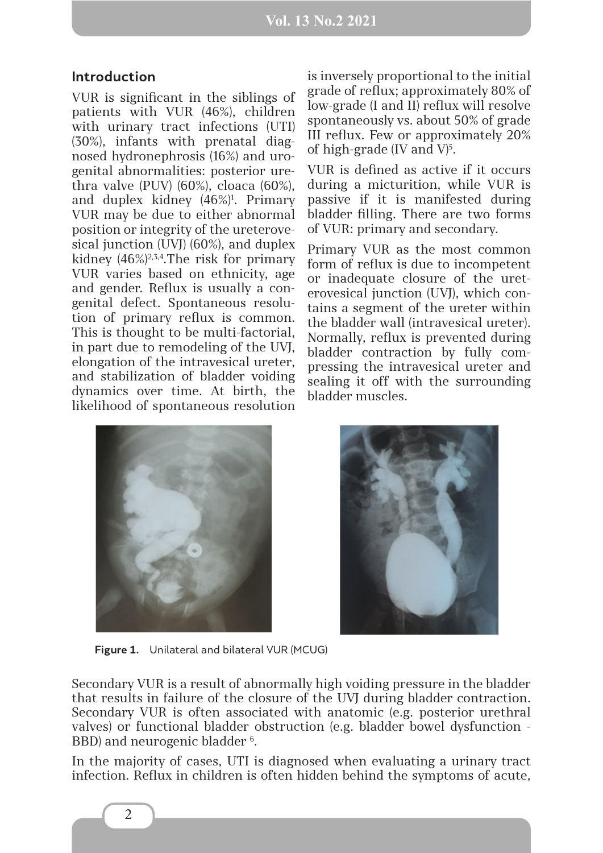## **Introduction**

VUR is significant in the siblings of patients with VUR (46%), children with urinary tract infections (UTI) (30%), infants with prenatal diagnosed hydronephrosis (16%) and urogenital abnormalities: posterior urethra valve (PUV) (60%), cloaca (60%), and duplex kidney (46%)1 . Primary VUR may be due to either abnormal position or integrity of the ureterovesical junction (UVJ) (60%), and duplex kidney (46%)2,3,4.The risk for primary VUR varies based on ethnicity, age and gender. Reflux is usually a congenital defect. Spontaneous resolution of primary reflux is common. This is thought to be multi-factorial, in part due to remodeling of the UVJ, elongation of the intravesical ureter, and stabilization of bladder voiding dynamics over time. At birth, the likelihood of spontaneous resolution

is inversely proportional to the initial grade of reflux; approximately 80% of low-grade (I and II) reflux will resolve spontaneously vs. about 50% of grade III reflux. Few or approximately 20% of high-grade (IV and  $V$ )<sup>5</sup>.

VUR is defined as active if it occurs during a micturition, while VUR is passive if it is manifested during bladder filling. There are two forms of VUR: primary and secondary.

Primary VUR as the most common form of reflux is due to incompetent or inadequate closure of the ureterovesical junction (UVJ), which contains a segment of the ureter within the bladder wall (intravesical ureter). Normally, reflux is prevented during bladder contraction by fully compressing the intravesical ureter and sealing it off with the surrounding bladder muscles.



**Figure 1.** Unilateral and bilateral VUR (MCUG)

Secondary VUR is a result of abnormally high voiding pressure in the bladder that results in failure of the closure of the UVJ during bladder contraction. Secondary VUR is often associated with anatomic (e.g. posterior urethral valves) or functional bladder obstruction (e.g. bladder bowel dysfunction - BBD) and neurogenic bladder <sup>6</sup>.

In the majority of cases, UTI is diagnosed when evaluating a urinary tract infection. Reflux in children is often hidden behind the symptoms of acute,

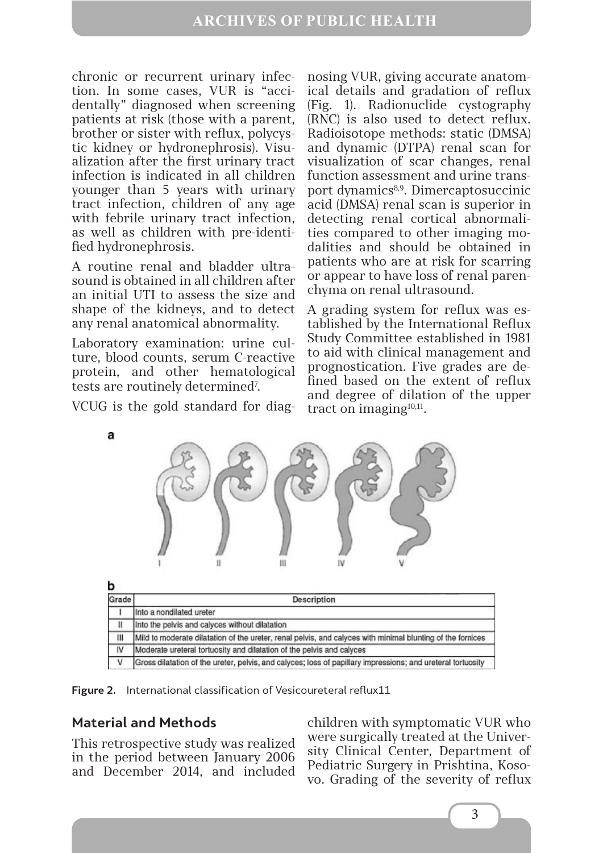chronic or recurrent urinary infection. In some cases, VUR is "accidentally" diagnosed when screening patients at risk (those with a parent, brother or sister with reflux, polycystic kidney or hydronephrosis). Visualization after the first urinary tract infection is indicated in all children younger than 5 years with urinary tract infection, children of any age with febrile urinary tract infection, as well as children with pre-identified hydronephrosis.

A routine renal and bladder ultrasound is obtained in all children after an initial UTI to assess the size and shape of the kidneys, and to detect any renal anatomical abnormality.

Laboratory examination: urine culture, blood counts, serum C-reactive protein, and other hematological tests are routinely determined<sup>7</sup>.

VCUG is the gold standard for diag-

nosing VUR, giving accurate anatomical details and gradation of reflux (Fig. 1). Radionuclide cystography (RNC) is also used to detect reflux. Radioisotope methods: static (DMSA) and dynamic (DTPA) renal scan for visualization of scar changes, renal function assessment and urine transport dynamics<sup>8,9</sup>. Dimercaptosuccinic acid (DMSA) renal scan is superior in detecting renal cortical abnormalities compared to other imaging modalities and should be obtained in patients who are at risk for scarring or appear to have loss of renal parenchyma on renal ultrasound.

A grading system for reflux was established by the International Reflux Study Committee established in 1981 to aid with clinical management and prognostication. Five grades are defined based on the extent of reflux and degree of dilation of the upper tract on imaging $10,11$ .



|  | Mild to moderate dilatation of the ureter, renal pelvis, and calyces with minimal blunting of the fornices  |
|--|-------------------------------------------------------------------------------------------------------------|
|  | Moderate ureteral tortuosity and dilatation of the pelvis and calyces                                       |
|  | Gross dilatation of the ureter, pelvis, and calyces; loss of papillary impressions; and ureteral tortuosity |

**Figure 2.** International classification of Vesicoureteral reflux11

## **Material and Methods**

This retrospective study was realized in the period between January 2006 and December 2014, and included children with symptomatic VUR who were surgically treated at the University Clinical Center, Department of Pediatric Surgery in Prishtina, Kosovo. Grading of the severity of reflux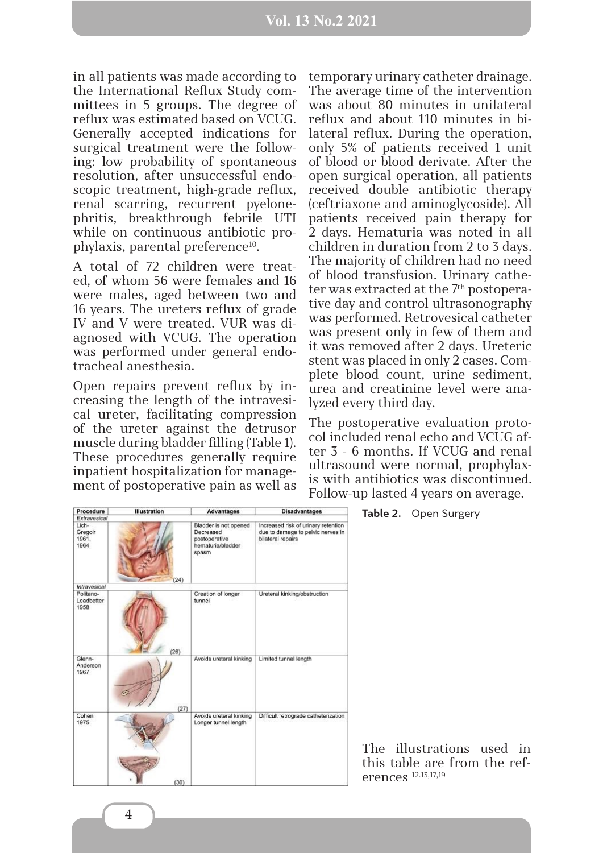### **Vol. 13 No.2 2021**

in all patients was made according to the International Reflux Study committees in 5 groups. The degree of reflux was estimated based on VCUG. Generally accepted indications for surgical treatment were the following: low probability of spontaneous resolution, after unsuccessful endoscopic treatment, high-grade reflux, renal scarring, recurrent pyelonephritis, breakthrough febrile UTI while on continuous antibiotic prophylaxis, parental preference10.

A total of 72 children were treated, of whom 56 were females and 16 were males, aged between two and 16 years. The ureters reflux of grade IV and V were treated. VUR was diagnosed with VCUG. The operation was performed under general endotracheal anesthesia.

Open repairs prevent reflux by increasing the length of the intravesical ureter, facilitating compression of the ureter against the detrusor muscle during bladder filling (Table 1). These procedures generally require inpatient hospitalization for management of postoperative pain as well as temporary urinary catheter drainage. The average time of the intervention was about 80 minutes in unilateral reflux and about 110 minutes in bilateral reflux. During the operation, only 5% of patients received 1 unit of blood or blood derivate. After the open surgical operation, all patients received double antibiotic therapy (ceftriaxone and aminoglycoside). All patients received pain therapy for 2 days. Hematuria was noted in all children in duration from 2 to 3 days. The majority of children had no need of blood transfusion. Urinary catheter was extracted at the 7<sup>th</sup> postoperative day and control ultrasonography was performed. Retrovesical catheter was present only in few of them and it was removed after 2 days. Ureteric stent was placed in only 2 cases. Complete blood count, urine sediment, urea and creatinine level were analyzed every third day.

The postoperative evaluation protocol included renal echo and VCUG after 3 - 6 months. If VCUG and renal ultrasound were normal, prophylaxis with antibiotics was discontinued. Follow-up lasted 4 years on average.

| Procedure                         | <b>Illustration</b> | <b>Advantages</b>                                                                 | <b>Disadvantages</b>                                                                          |                                | Table 2. Open Surgery                                     |
|-----------------------------------|---------------------|-----------------------------------------------------------------------------------|-----------------------------------------------------------------------------------------------|--------------------------------|-----------------------------------------------------------|
| Extravesical                      |                     |                                                                                   |                                                                                               |                                |                                                           |
| Lich-<br>Gregoir<br>1961.<br>1964 | (24)                | Bladder is not opened<br>Decreased<br>postoperative<br>hematuria/bladder<br>spasm | Increased risk of urinary retention<br>due to damage to pelvic nerves in<br>bilateral repairs |                                |                                                           |
| Intravesical                      |                     |                                                                                   |                                                                                               |                                |                                                           |
| Politano-<br>Leadbetter<br>1958   |                     | Creation of longer<br>tunnel                                                      | Ureteral kinking/obstruction                                                                  |                                |                                                           |
| Glenn-<br>Anderson<br>1967        | (26)                | Avoids ureteral kinking                                                           | Limited tunnel length                                                                         |                                |                                                           |
| Cohen<br>1975                     | (27)                | Avoids ureteral kinking<br>Longer tunnel length                                   | Difficult retrograde catheterization                                                          |                                |                                                           |
|                                   | (30)                |                                                                                   |                                                                                               | erences <sup>12.13,17,19</sup> | The illustrations used in<br>this table are from the ref- |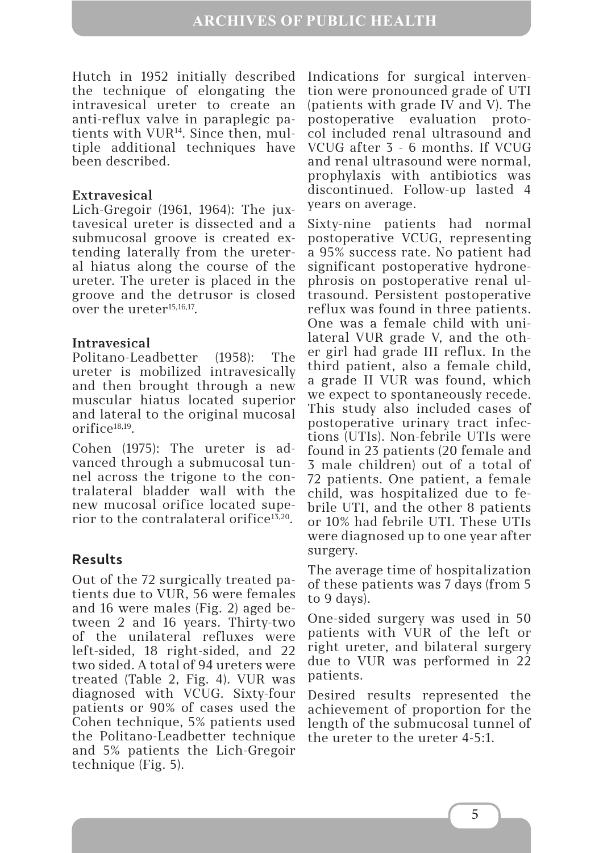Hutch in 1952 initially described the technique of elongating the intravesical ureter to create an anti-reflux valve in paraplegic patients with VUR14. Since then, multiple additional techniques have been described.

## **Extravesical**

Lich-Gregoir (1961, 1964): The juxtavesical ureter is dissected and a submucosal groove is created extending laterally from the ureteral hiatus along the course of the ureter. The ureter is placed in the groove and the detrusor is closed over the ureter<sup>15,16,17</sup>.

### **Intravesical**

Politano-Leadbetter (1958): The ureter is mobilized intravesically and then brought through a new muscular hiatus located superior and lateral to the original mucosal  $orifice^{18,19}$ .

Cohen (1975): The ureter is advanced through a submucosal tunnel across the trigone to the contralateral bladder wall with the new mucosal orifice located superior to the contralateral orifice<sup>13,20</sup>.

## **Results**

Out of the 72 surgically treated patients due to VUR, 56 were females and 16 were males (Fig. 2) aged between 2 and 16 years. Thirty-two of the unilateral refluxes were left-sided, 18 right-sided, and 22 two sided. A total of 94 ureters were treated (Table 2, Fig. 4). VUR was diagnosed with VCUG. Sixty-four patients or 90% of cases used the Cohen technique, 5% patients used the Politano-Leadbetter technique and 5% patients the Lich-Gregoir technique (Fig. 5).

Indications for surgical intervention were pronounced grade of UTI (patients with grade IV and V). The postoperative evaluation protocol included renal ultrasound and VCUG after 3 - 6 months. If VCUG and renal ultrasound were normal, prophylaxis with antibiotics was discontinued. Follow-up lasted 4 years on average.

Sixty-nine patients had normal postoperative VCUG, representing a 95% success rate. No patient had significant postoperative hydronephrosis on postoperative renal ultrasound. Persistent postoperative reflux was found in three patients. One was a female child with unilateral VUR grade V, and the other girl had grade III reflux. In the third patient, also a female child, a grade II VUR was found, which we expect to spontaneously recede. This study also included cases of postoperative urinary tract infections (UTIs). Non-febrile UTIs were found in 23 patients (20 female and 3 male children) out of a total of 72 patients. One patient, a female child, was hospitalized due to febrile UTI, and the other 8 patients or 10% had febrile UTI. These UTIs were diagnosed up to one year after surgery.

The average time of hospitalization of these patients was 7 days (from 5 to 9 days).

One-sided surgery was used in 50 patients with VUR of the left or right ureter, and bilateral surgery due to VUR was performed in 22 patients.

Desired results represented the achievement of proportion for the length of the submucosal tunnel of the ureter to the ureter 4-5:1.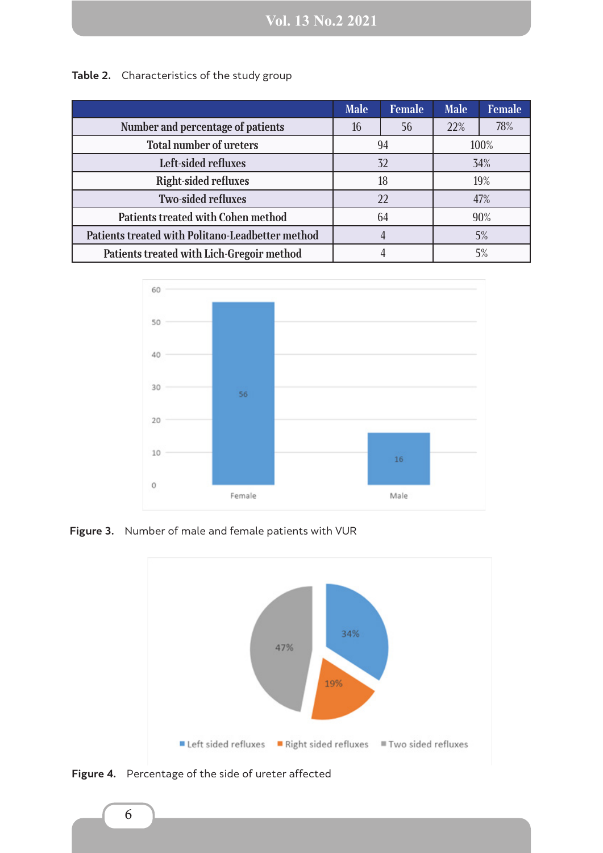|                                                  | <b>Male</b> | <b>Female</b> | <b>Male</b> | <b>Female</b> |
|--------------------------------------------------|-------------|---------------|-------------|---------------|
| Number and percentage of patients                | 16          | 56            | 22%         | 78%           |
| <b>Total number of ureters</b>                   | 94          |               | 100%        |               |
| Left-sided refluxes                              | 32          |               | 34%         |               |
| <b>Right-sided refluxes</b>                      | 18          |               | 19%         |               |
| <b>Two-sided refluxes</b>                        | 22          |               | 47%         |               |
| <b>Patients treated with Cohen method</b>        | 64          |               | 90%         |               |
| Patients treated with Politano-Leadbetter method |             |               |             | 5%            |
| Patients treated with Lich-Gregoir method        |             |               |             | 5%            |

**Table 2.** Characteristics of the study group



**Figure 3.** Number of male and female patients with VUR



**Figure 4.** Percentage of the side of ureter affected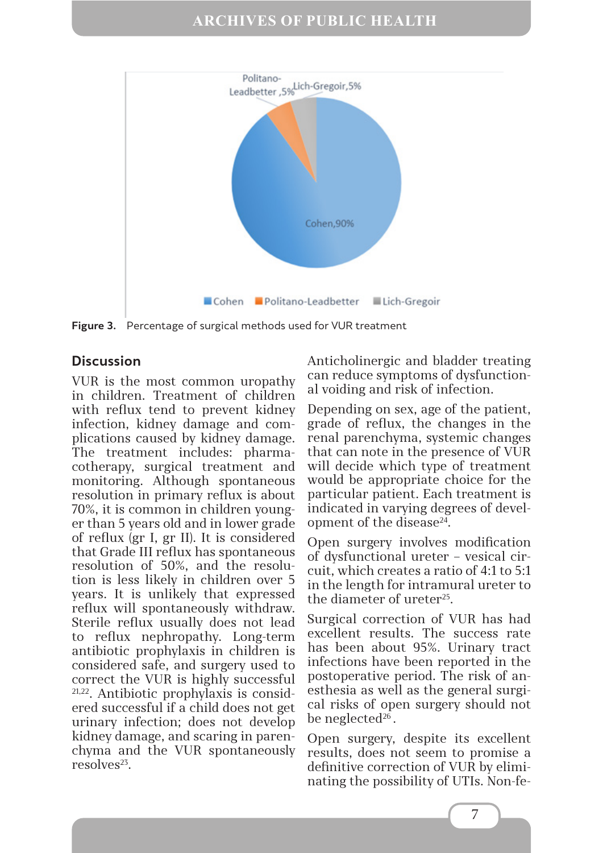

**Figure 3.** Percentage of surgical methods used for VUR treatment

## **Discussion**

VUR is the most common uropathy in children. Treatment of children with reflux tend to prevent kidney infection, kidney damage and complications caused by kidney damage. The treatment includes: pharmacotherapy, surgical treatment and monitoring. Although spontaneous resolution in primary reflux is about 70%, it is common in children younger than 5 years old and in lower grade of reflux (gr I, gr II). It is considered that Grade III reflux has spontaneous resolution of 50%, and the resolution is less likely in children over 5 years. It is unlikely that expressed reflux will spontaneously withdraw. Sterile reflux usually does not lead to reflux nephropathy. Long-term antibiotic prophylaxis in children is considered safe, and surgery used to correct the VUR is highly successful 21,22. Antibiotic prophylaxis is considered successful if a child does not get urinary infection; does not develop kidney damage, and scaring in parenchyma and the VUR spontaneously resolves23.

Anticholinergic and bladder treating can reduce symptoms of dysfunctional voiding and risk of infection.

Depending on sex, age of the patient, grade of reflux, the changes in the renal parenchyma, systemic changes that can note in the presence of VUR will decide which type of treatment would be appropriate choice for the particular patient. Each treatment is indicated in varying degrees of development of the disease<sup>24</sup>.

Open surgery involves modification of dysfunctional ureter – vesical circuit, which creates a ratio of 4:1 to 5:1 in the length for intramural ureter to the diameter of ureter<sup>25</sup>.

Surgical correction of VUR has had excellent results. The success rate has been about 95%. Urinary tract infections have been reported in the postoperative period. The risk of anesthesia as well as the general surgical risks of open surgery should not be neglected<sup>26</sup>.

Open surgery, despite its excellent results, does not seem to promise a definitive correction of VUR by eliminating the possibility of UTIs. Non-fe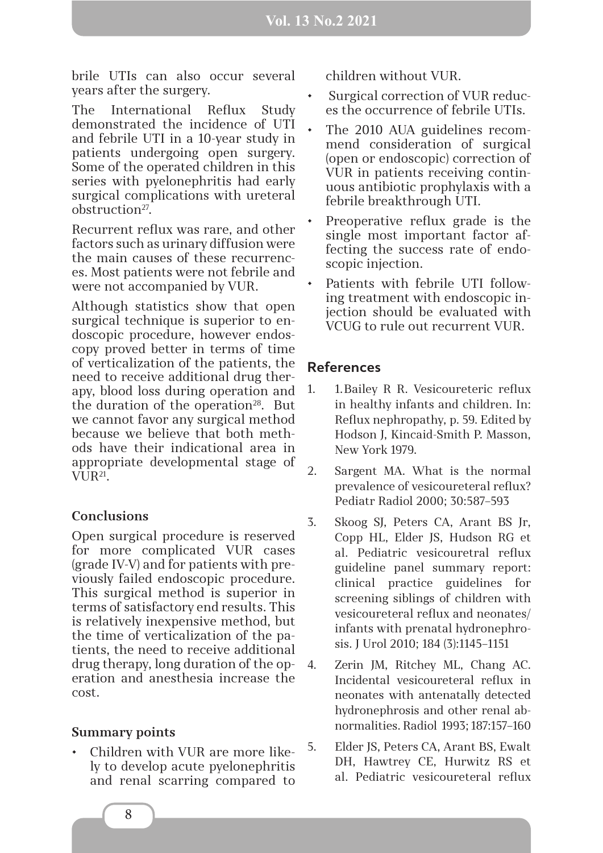brile UTIs can also occur several years after the surgery.

The International Reflux Study demonstrated the incidence of UTI and febrile UTI in a 10-year study in patients undergoing open surgery. Some of the operated children in this series with pyelonephritis had early surgical complications with ureteral obstruction27.

Recurrent reflux was rare, and other factors such as urinary diffusion were the main causes of these recurrences. Most patients were not febrile and were not accompanied by VUR.

Although statistics show that open surgical technique is superior to endoscopic procedure, however endoscopy proved better in terms of time of verticalization of the patients, the need to receive additional drug therapy, blood loss during operation and the duration of the operation $28$ . But we cannot favor any surgical method because we believe that both methods have their indicational area in appropriate developmental stage of VUR21.

### **Conclusions**

Open surgical procedure is reserved for more complicated VUR cases (grade IV-V) and for patients with previously failed endoscopic procedure. This surgical method is superior in terms of satisfactory end results. This is relatively inexpensive method, but the time of verticalization of the patients, the need to receive additional drug therapy, long duration of the operation and anesthesia increase the cost.

## **Summary points**

• Children with VUR are more likely to develop acute pyelonephritis and renal scarring compared to children without VUR.

- Surgical correction of VUR reduces the occurrence of febrile UTIs.
- The 2010 AUA guidelines recommend consideration of surgical (open or endoscopic) correction of VUR in patients receiving continuous antibiotic prophylaxis with a febrile breakthrough UTI.
- Preoperative reflux grade is the single most important factor affecting the success rate of endoscopic injection.
- Patients with febrile UTI following treatment with endoscopic injection should be evaluated with VCUG to rule out recurrent VUR.

## **References**

- 1. 1.Bailey R R. Vesicoureteric reflux in healthy infants and children. In: Reflux nephropathy, p. 59. Edited by Hodson J, Kincaid-Smith P. Masson, New York 1979.
- 2. Sargent MA. What is the normal prevalence of vesicoureteral reflux? Pediatr Radiol 2000; 30:587–593
- 3. Skoog SJ, Peters CA, Arant BS Jr, Copp HL, Elder JS, Hudson RG et al. Pediatric vesicouretral reflux guideline panel summary report: clinical practice guidelines for screening siblings of children with vesicoureteral reflux and neonates/ infants with prenatal hydronephrosis. J Urol 2010; 184 (3):1145–1151
- Zerin JM, Ritchey ML, Chang AC. Incidental vesicoureteral reflux in neonates with antenatally detected hydronephrosis and other renal abnormalities. Radiol 1993; 187:157–160
- 5. Elder JS, Peters CA, Arant BS, Ewalt DH, Hawtrey CE, Hurwitz RS et al. Pediatric vesicoureteral reflux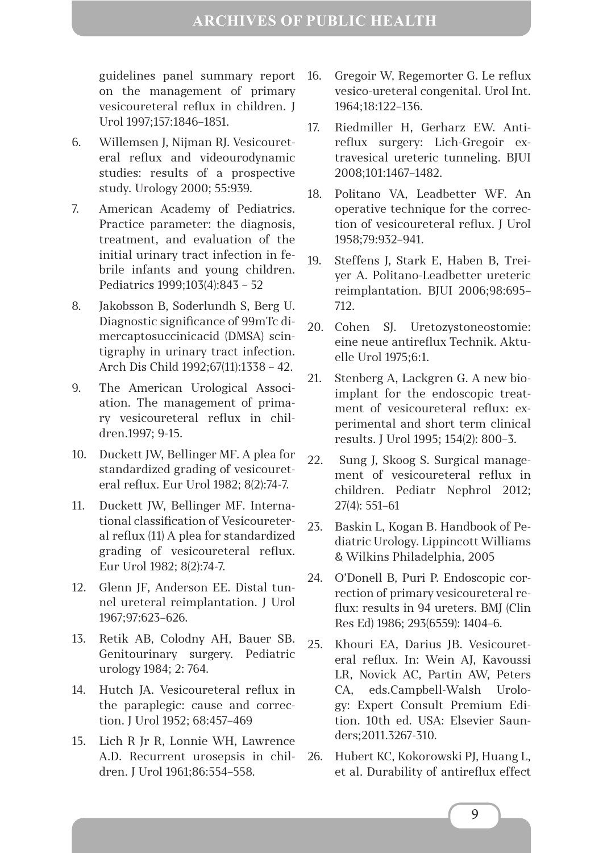guidelines panel summary report on the management of primary vesicoureteral reflux in children. J Urol 1997;157:1846–1851.

- 6. Willemsen J, Nijman RJ. Vesicoureteral reflux and videourodynamic studies: results of a prospective study. Urology 2000; 55:939.
- 7. American Academy of Pediatrics. Practice parameter: the diagnosis, treatment, and evaluation of the initial urinary tract infection in febrile infants and young children. Pediatrics 1999;103(4):843 – 52
- 8. Jakobsson B, Soderlundh S, Berg U. Diagnostic significance of 99mTc dimercaptosuccinicacid (DMSA) scintigraphy in urinary tract infection. Arch Dis Child 1992;67(11):1338 – 42.
- 9. The American Urological Association. The management of primary vesicoureteral reflux in children.1997; 9-15.
- 10. Duckett JW, Bellinger MF. A plea for standardized grading of vesicoureteral reflux. Eur Urol 1982; 8(2):74-7.
- 11. Duckett JW, Bellinger MF. International classification of Vesicoureteral reflux (11) A plea for standardized grading of vesicoureteral reflux. Eur Urol 1982; 8(2):74-7.
- 12. Glenn JF, Anderson EE. Distal tunnel ureteral reimplantation. J Urol 1967;97:623–626.
- 13. Retik AB, Colodny AH, Bauer SB. Genitourinary surgery. Pediatric urology 1984; 2: 764.
- 14. Hutch JA. Vesicoureteral reflux in the paraplegic: cause and correction. J Urol 1952; 68:457–469
- 15. Lich R Jr R, Lonnie WH, Lawrence A.D. Recurrent urosepsis in children. J Urol 1961;86:554–558.
- 16. Gregoir W, Regemorter G. Le reflux vesico-ureteral congenital. Urol Int. 1964;18:122–136.
- 17. Riedmiller H, Gerharz EW. Antireflux surgery: Lich-Gregoir extravesical ureteric tunneling. BJUI 2008;101:1467–1482.
- 18. Politano VA, Leadbetter WF. An operative technique for the correction of vesicoureteral reflux. J Urol 1958;79:932–941.
- 19. Steffens J, Stark E, Haben B, Treiyer A. Politano-Leadbetter ureteric reimplantation. BJUI 2006;98:695– 712.
- 20. Cohen SJ. Uretozystoneostomie: eine neue antireflux Technik. Aktuelle Urol 1975;6:1.
- 21. Stenberg A, Lackgren G. A new bioimplant for the endoscopic treatment of vesicoureteral reflux: experimental and short term clinical results. J Urol 1995; 154(2): 800–3.
- 22. Sung J, Skoog S. Surgical management of vesicoureteral reflux in children. Pediatr Nephrol 2012; 27(4): 551–61
- 23. Baskin L, Kogan B. Handbook of Pediatric Urology. Lippincott Williams & Wilkins Philadelphia, 2005
- 24. O'Donell B, Puri P. Endoscopic correction of primary vesicoureteral reflux: results in 94 ureters. BMJ (Clin Res Ed) 1986; 293(6559): 1404–6.
- 25. Khouri EA, Darius JB. Vesicoureteral reflux. In: Wein AJ, Kavoussi LR, Novick AC, Partin AW, Peters CA, eds.Campbell-Walsh Urology: Expert Consult Premium Edition. 10th ed. USA: Elsevier Saunders;2011.3267-310.
- 26. Hubert KC, Kokorowski PJ, Huang L, et al. Durability of antireflux effect